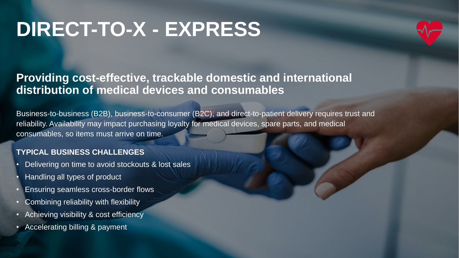# **DIRECT-TO-X - EXPRESS**



## **Providing cost-effective, trackable domestic and international distribution of medical devices and consumables**

Business-to-business (B2B), business-to-consumer (B2C), and direct-to-patient delivery requires trust and reliability. Availability may impact purchasing loyalty for medical devices, spare parts, and medical consumables, so items must arrive on time.

### **TYPICAL BUSINESS CHALLENGES**

- Delivering on time to avoid stockouts & lost sales
- Handling all types of product
- Ensuring seamless cross-border flows
- Combining reliability with flexibility
- Achieving visibility & cost efficiency
- Accelerating billing & payment